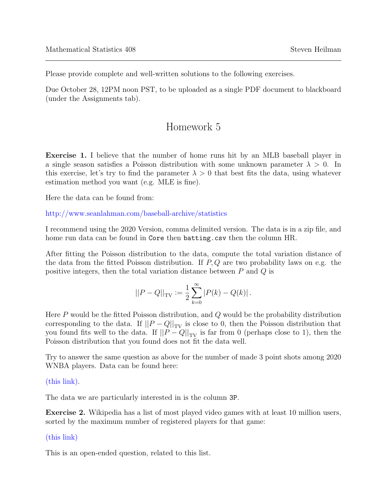Please provide complete and well-written solutions to the following exercises.

Due October 28, 12PM noon PST, to be uploaded as a single PDF document to blackboard (under the Assignments tab).

## Homework 5

Exercise 1. I believe that the number of home runs hit by an MLB baseball player in a single season satisfies a Poisson distribution with some unknown parameter  $\lambda > 0$ . In this exercise, let's try to find the parameter  $\lambda > 0$  that best fits the data, using whatever estimation method you want (e.g. MLE is fine).

Here the data can be found from:

<http://www.seanlahman.com/baseball-archive/statistics>

I recommend using the 2020 Version, comma delimited version. The data is in a zip file, and home run data can be found in Core then batting.csv then the column HR.

After fitting the Poisson distribution to the data, compute the total variation distance of the data from the fitted Poisson distribution. If  $P, Q$  are two probability laws on e.g. the positive integers, then the total variation distance between  $P$  and  $Q$  is

$$
||P - Q||_{\text{TV}} := \frac{1}{2} \sum_{k=0}^{\infty} |P(k) - Q(k)|.
$$

Here  $P$  would be the fitted Poisson distribution, and  $Q$  would be the probability distribution corresponding to the data. If  $||P - Q||_{TV}$  is close to 0, then the Poisson distribution that you found fits well to the data. If  $||P - Q||_{TV}$  is far from 0 (perhaps close to 1), then the Poisson distribution that you found does not fit the data well.

Try to answer the same question as above for the number of made 3 point shots among 2020 WNBA players. Data can be found here:

[\(this link\).](https://www.basketball-reference.com/wnba/years/2020_totals.html)

The data we are particularly interested in is the column 3P.

Exercise 2. Wikipedia has a list of most played video games with at least 10 million users, sorted by the maximum number of registered players for that game:

## [\(this link\)](https://en.wikipedia.org/wiki/List_of_most-played_video_games_by_player_count)

This is an open-ended question, related to this list.